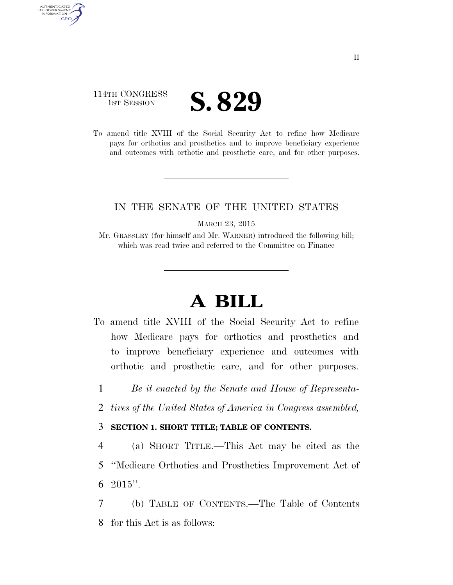### 114TH CONGRESS **IST SESSION S. 829**

AUTHENTICATED U.S. GOVERNMENT **GPO** 

> To amend title XVIII of the Social Security Act to refine how Medicare pays for orthotics and prosthetics and to improve beneficiary experience and outcomes with orthotic and prosthetic care, and for other purposes.

#### IN THE SENATE OF THE UNITED STATES

MARCH 23, 2015

Mr. GRASSLEY (for himself and Mr. WARNER) introduced the following bill; which was read twice and referred to the Committee on Finance

# **A BILL**

- To amend title XVIII of the Social Security Act to refine how Medicare pays for orthotics and prosthetics and to improve beneficiary experience and outcomes with orthotic and prosthetic care, and for other purposes.
	- 1 *Be it enacted by the Senate and House of Representa-*
	- 2 *tives of the United States of America in Congress assembled,*

#### 3 **SECTION 1. SHORT TITLE; TABLE OF CONTENTS.**

- 4 (a) SHORT TITLE.—This Act may be cited as the 5 ''Medicare Orthotics and Prosthetics Improvement Act of  $6\text{ }2015"$ .
- 7 (b) TABLE OF CONTENTS.—The Table of Contents 8 for this Act is as follows: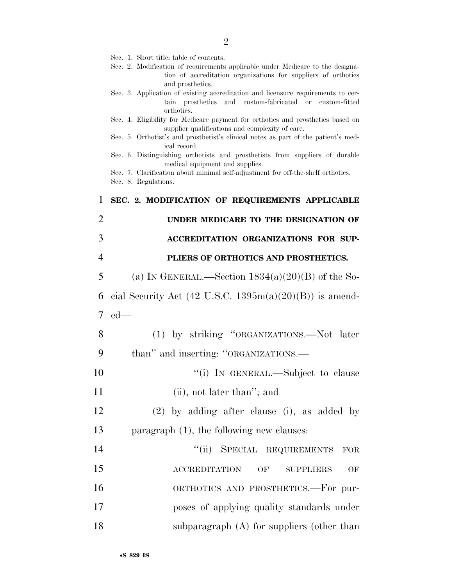|  |  |  |  |  |  | Sec. 1. Short title; table of contents. |
|--|--|--|--|--|--|-----------------------------------------|
|--|--|--|--|--|--|-----------------------------------------|

- Sec. 2. Modification of requirements applicable under Medicare to the designation of accreditation organizations for suppliers of orthotics and prosthetics.
- Sec. 3. Application of existing accreditation and licensure requirements to certain prosthetics and custom-fabricated or custom-fitted orthotics.
- Sec. 4. Eligibility for Medicare payment for orthotics and prosthetics based on supplier qualifications and complexity of care.
- Sec. 5. Orthotist's and prosthetist's clinical notes as part of the patient's medical record.
- Sec. 6. Distinguishing orthotists and prosthetists from suppliers of durable medical equipment and supplies.

Sec. 7. Clarification about minimal self-adjustment for off-the-shelf orthotics.

Sec. 8. Regulations.

| $\mathbf{1}$   | SEC. 2. MODIFICATION OF REQUIREMENTS APPLICABLE            |
|----------------|------------------------------------------------------------|
| $\overline{2}$ | UNDER MEDICARE TO THE DESIGNATION OF                       |
| 3              | ACCREDITATION ORGANIZATIONS FOR SUP-                       |
| $\overline{4}$ | PLIERS OF ORTHOTICS AND PROSTHETICS.                       |
| 5              | (a) IN GENERAL.—Section $1834(a)(20)(B)$ of the So-        |
| 6              | cial Security Act (42 U.S.C. $1395m(a)(20)(B)$ ) is amend- |
| $\tau$         | $ed$ —                                                     |
| 8              | (1) by striking "ORGANIZATIONS.—Not later                  |
| 9              | than" and inserting: "ORGANIZATIONS.—                      |
| 10             | "(i) IN GENERAL.—Subject to clause                         |
| 11             | (ii), not later than"; and                                 |
| 12             | $(2)$ by adding after clause (i), as added by              |
| 13             | paragraph $(1)$ , the following new clauses:               |
| 14             | "(ii) SPECIAL REQUIREMENTS<br>$\rm FOR$                    |
| 15             | ACCREDITATION OF<br><b>SUPPLIERS</b><br>OF                 |
| 16             | ORTHOTICS AND PROSTHETICS.—For pur-                        |
| 17             | poses of applying quality standards under                  |
| 18             | subparagraph $(A)$ for suppliers (other than               |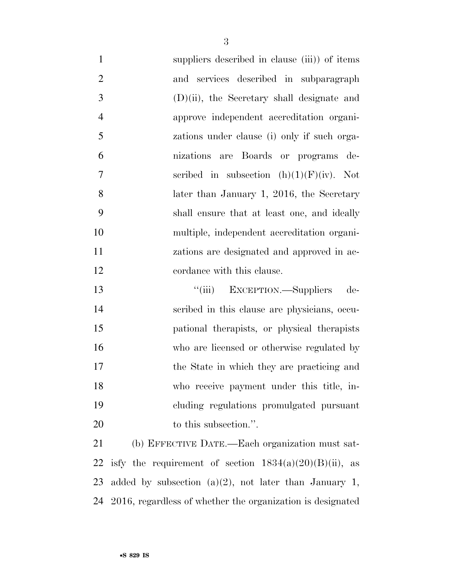suppliers described in clause (iii)) of items and services described in subparagraph (D)(ii), the Secretary shall designate and approve independent accreditation organi- zations under clause (i) only if such orga- nizations are Boards or programs de-7 seribed in subsection  $(h)(1)(F)(iv)$ . Not 8 later than January 1, 2016, the Secretary shall ensure that at least one, and ideally multiple, independent accreditation organi- zations are designated and approved in ac-12 cordance with this clause.

 ''(iii) EXCEPTION.—Suppliers de- scribed in this clause are physicians, occu- pational therapists, or physical therapists who are licensed or otherwise regulated by the State in which they are practicing and who receive payment under this title, in- cluding regulations promulgated pursuant 20 to this subsection.".

 (b) EFFECTIVE DATE.—Each organization must sat-22 is fy the requirement of section  $1834(a)(20)(B)(ii)$ , as added by subsection (a)(2), not later than January 1, 2016, regardless of whether the organization is designated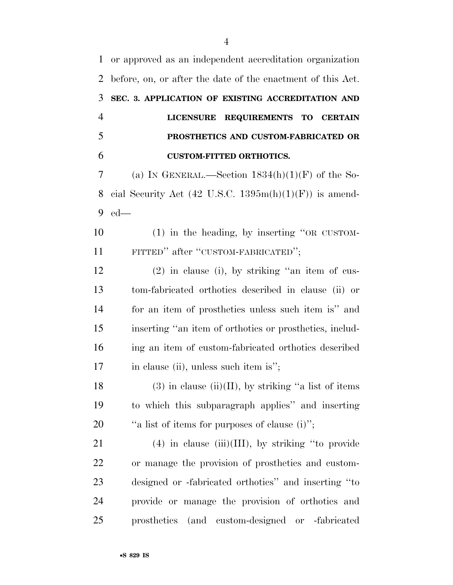or approved as an independent accreditation organization before, on, or after the date of the enactment of this Act. **SEC. 3. APPLICATION OF EXISTING ACCREDITATION AND LICENSURE REQUIREMENTS TO CERTAIN PROSTHETICS AND CUSTOM-FABRICATED OR CUSTOM-FITTED ORTHOTICS.**  7 (a) IN GENERAL.—Section  $1834(h)(1)(F)$  of the So-8 cial Security Act (42 U.S.C.  $1395m(h)(1)(F)$ ) is amend- ed— (1) in the heading, by inserting ''OR CUSTOM- FITTED'' after ''CUSTOM-FABRICATED''; (2) in clause (i), by striking ''an item of cus- tom-fabricated orthotics described in clause (ii) or for an item of prosthetics unless such item is'' and inserting ''an item of orthotics or prosthetics, includ- ing an item of custom-fabricated orthotics described 17 in clause (ii), unless such item is"; 18 (3) in clause (ii)(II), by striking "a list of items to which this subparagraph applies'' and inserting  $\qquad$  "a list of items for purposes of clause (i)"; 21 (4) in clause (iii)(III), by striking "to provide or manage the provision of prosthetics and custom- designed or -fabricated orthotics'' and inserting ''to provide or manage the provision of orthotics and prosthetics (and custom-designed or -fabricated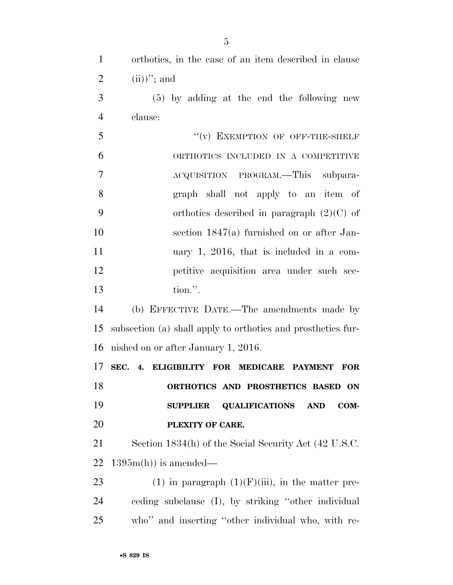| $\mathbf{1}$   | orthotics, in the case of an item described in clause          |
|----------------|----------------------------------------------------------------|
| $\overline{2}$ | $(ii)$ "; and                                                  |
| 3              | $(5)$ by adding at the end the following new                   |
| $\overline{4}$ | clause:                                                        |
| 5              | "(v) EXEMPTION OF OFF-THE-SHELF                                |
| 6              | ORTHOTICS INCLUDED IN A COMPETITIVE                            |
| 7              | ACQUISITION PROGRAM.—This subpara-                             |
| 8              | graph shall not apply to an item of                            |
| 9              | orthotics described in paragraph $(2)(C)$ of                   |
| 10             | section $1847(a)$ furnished on or after Jan-                   |
| 11             | uary 1, 2016, that is included in a com-                       |
| 12             | petitive acquisition area under such sec-                      |
| 13             | tion.".                                                        |
| 14             | (b) EFFECTIVE DATE.—The amendments made by                     |
| 15             | subsection (a) shall apply to orthotics and prosthetics fur-   |
| 16             | nished on or after January 1, 2016.                            |
| 17             | SEC. 4. ELIGIBILITY FOR MEDICARE PAYMENT<br><b>FOR</b>         |
| 18             | ORTHOTICS AND PROSTHETICS BASED ON                             |
| 19             | <b>QUALIFICATIONS</b><br>COM-<br><b>SUPPLIER</b><br><b>AND</b> |
| 20             | PLEXITY OF CARE.                                               |
| 21             | Section 1834(h) of the Social Security Act (42 U.S.C.          |
| 22             | $1395m(h)$ is amended—                                         |
| 23             | (1) in paragraph $(1)(F)(iii)$ , in the matter pre-            |
| 24             | ceding subclause (I), by striking "other individual            |
| 25             | who" and inserting "other individual who, with re-             |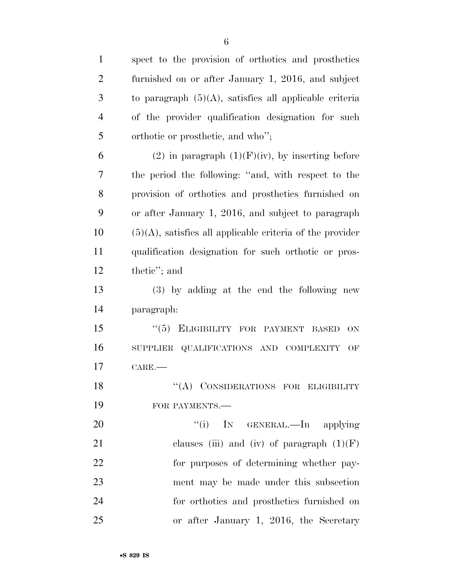| $\mathbf{1}$   | spect to the provision of orthotics and prosthetics          |
|----------------|--------------------------------------------------------------|
| $\overline{2}$ | furnished on or after January 1, 2016, and subject           |
| 3              | to paragraph $(5)(A)$ , satisfies all applicable criteria    |
| $\overline{4}$ | of the provider qualification designation for such           |
| 5              | orthotic or prosthetic, and who";                            |
| 6              | (2) in paragraph $(1)(F)(iv)$ , by inserting before          |
| 7              | the period the following: "and, with respect to the          |
| 8              | provision of orthotics and prosthetics furnished on          |
| 9              | or after January 1, 2016, and subject to paragraph           |
| 10             | $(5)(A)$ , satisfies all applicable criteria of the provider |
| 11             | qualification designation for such orthotic or pros-         |
| 12             | thetic"; and                                                 |
| 13             | (3) by adding at the end the following new                   |
| 14             | paragraph:                                                   |
| 15             | $(5)$ ELIGIBILITY FOR PAYMENT<br><b>ON</b><br><b>BASED</b>   |
| 16             | SUPPLIER QUALIFICATIONS AND COMPLEXITY<br>OF                 |
| 17             | CARE.                                                        |
| 18             | "(A) CONSIDERATIONS FOR ELIGIBILITY                          |
| 19             | FOR PAYMENTS.-                                               |
| 20             | ``(i)<br>IN GENERAL.—In applying                             |
| 21             | clauses (iii) and (iv) of paragraph $(1)(F)$                 |
| 22             | for purposes of determining whether pay-                     |
| 23             | ment may be made under this subsection                       |
| 24             | for orthotics and prosthetics furnished on                   |
| 25             | or after January 1, 2016, the Secretary                      |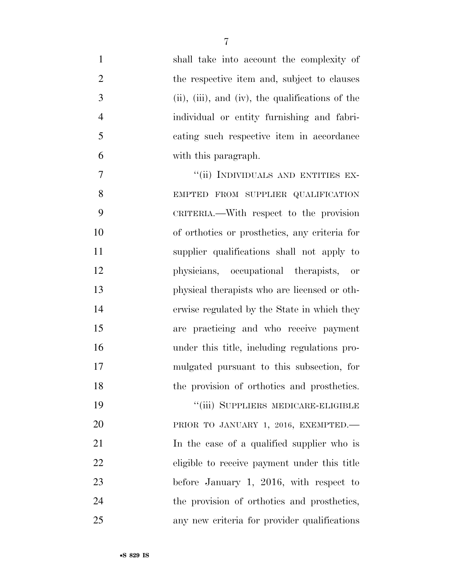| $\mathbf{1}$   | shall take into account the complexity of        |
|----------------|--------------------------------------------------|
| $\overline{2}$ | the respective item and, subject to clauses      |
| 3              | (ii), (iii), and (iv), the qualifications of the |
| $\overline{4}$ | individual or entity furnishing and fabri-       |
| 5              | cating such respective item in accordance        |
| 6              | with this paragraph.                             |
| 7              | "(ii) INDIVIDUALS AND ENTITIES EX-               |
| 8              | EMPTED FROM SUPPLIER QUALIFICATION               |
| 9              | CRITERIA.—With respect to the provision          |
| 10             | of orthotics or prosthetics, any criteria for    |
| 11             | supplier qualifications shall not apply to       |
| 12             | physicians, occupational therapists, or          |
| 13             | physical therapists who are licensed or oth-     |
| 14             | erwise regulated by the State in which they      |
| 15             | are practicing and who receive payment           |
| 16             | under this title, including regulations pro-     |
| 17             | mulgated pursuant to this subsection, for        |
| 18             | the provision of orthotics and prosthetics.      |
| 19             | "(iii) SUPPLIERS MEDICARE-ELIGIBLE               |
| 20             | PRIOR TO JANUARY 1, 2016, EXEMPTED.              |
| 21             | In the case of a qualified supplier who is       |
| 22             | eligible to receive payment under this title     |
| 23             | before January 1, 2016, with respect to          |
| 24             | the provision of orthotics and prosthetics,      |
| 25             | any new criteria for provider qualifications     |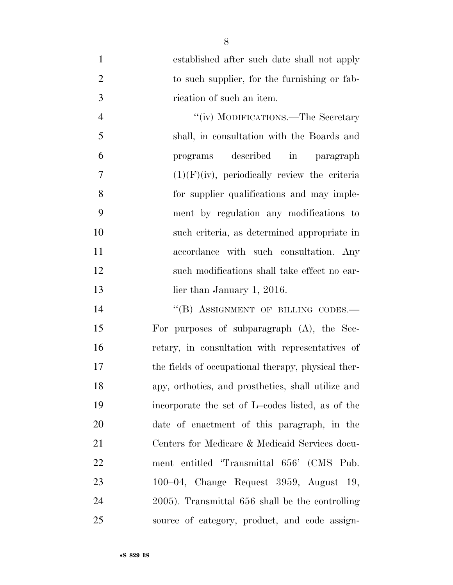established after such date shall not apply 2 to such supplier, for the furnishing or fab-rication of such an item.

4 "(iv) MODIFICATIONS.—The Secretary shall, in consultation with the Boards and programs described in paragraph  $(1)(F)(iv)$ , periodically review the criteria for supplier qualifications and may imple- ment by regulation any modifications to such criteria, as determined appropriate in accordance with such consultation. Any such modifications shall take effect no ear-13 lier than January 1, 2016.

14 "(B) ASSIGNMENT OF BILLING CODES.— For purposes of subparagraph (A), the Sec- retary, in consultation with representatives of the fields of occupational therapy, physical ther- apy, orthotics, and prosthetics, shall utilize and incorporate the set of L–codes listed, as of the date of enactment of this paragraph, in the Centers for Medicare & Medicaid Services docu- ment entitled 'Transmittal 656' (CMS Pub. 100–04, Change Request 3959, August 19, 2005). Transmittal 656 shall be the controlling source of category, product, and code assign-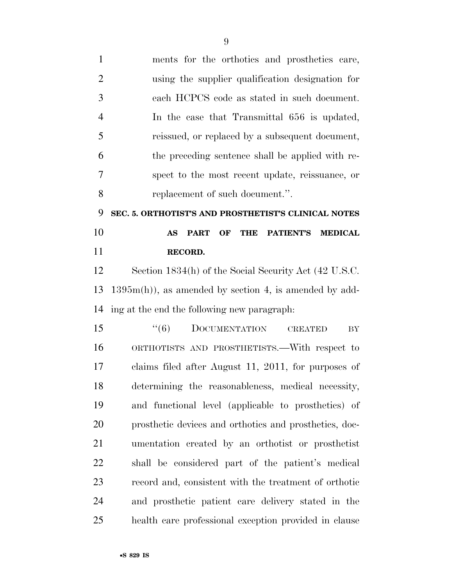| $\mathbf{1}$   | ments for the orthotics and prosthetics care,                               |
|----------------|-----------------------------------------------------------------------------|
| $\overline{2}$ | using the supplier qualification designation for                            |
| 3              | each HCPCS code as stated in such document.                                 |
| $\overline{4}$ | In the case that Transmittal 656 is updated,                                |
| 5              | reissued, or replaced by a subsequent document,                             |
| 6              | the preceding sentence shall be applied with re-                            |
| 7              | spect to the most recent update, reissuance, or                             |
| 8              | replacement of such document.".                                             |
| 9              | SEC. 5. ORTHOTIST'S AND PROSTHETIST'S CLINICAL NOTES                        |
| 10             | <b>THE</b><br><b>AS</b><br><b>PART</b><br>OF<br>PATIENT'S<br><b>MEDICAL</b> |
| 11             | RECORD.                                                                     |
| 12             | Section 1834(h) of the Social Security Act (42 U.S.C.                       |
| 13             | $1395m(h)$ , as amended by section 4, is amended by add-                    |
| 14             | ing at the end the following new paragraph:                                 |
| 15             | (6)<br><b>DOCUMENTATION</b><br><b>CREATED</b><br>BY                         |
| 16             | ORTHOTISTS AND PROSTHETISTS.—With respect to                                |
| 17             | claims filed after August 11, 2011, for purposes of                         |
| 18             | determining the reasonableness, medical necessity,                          |
| 19             | and functional level (applicable to prosthetics) of                         |
| 20             | prosthetic devices and orthotics and prosthetics, doc-                      |
| 21             | umentation created by an orthotist or prosthetist                           |
| 22             | shall be considered part of the patient's medical                           |
| 23             | record and, consistent with the treatment of orthotic                       |
| 24             | and prosthetic patient care delivery stated in the                          |
|                |                                                                             |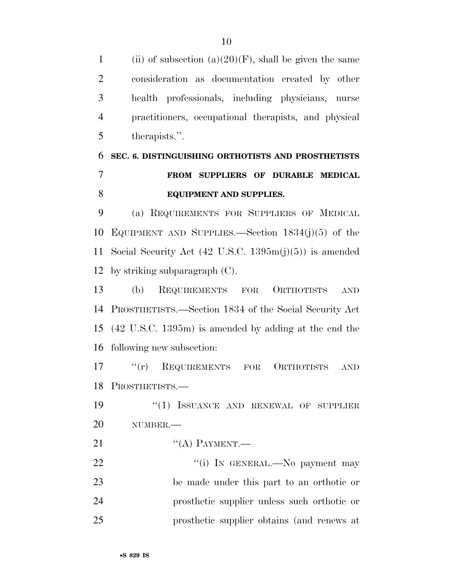1 (ii) of subsection (a)(20)(F), shall be given the same consideration as documentation created by other health professionals, including physicians, nurse practitioners, occupational therapists, and physical therapists.''.

## **SEC. 6. DISTINGUISHING ORTHOTISTS AND PROSTHETISTS FROM SUPPLIERS OF DURABLE MEDICAL EQUIPMENT AND SUPPLIES.**

 (a) REQUIREMENTS FOR SUPPLIERS OF MEDICAL EQUIPMENT AND SUPPLIES.—Section 1834(j)(5) of the Social Security Act (42 U.S.C. 1395m(j)(5)) is amended by striking subparagraph (C).

 (b) REQUIREMENTS FOR ORTHOTISTS AND PROSTHETISTS.—Section 1834 of the Social Security Act (42 U.S.C. 1395m) is amended by adding at the end the following new subsection:

 ''(r) REQUIREMENTS FOR ORTHOTISTS AND PROSTHETISTS.—

19 "(1) ISSUANCE AND RENEWAL OF SUPPLIER NUMBER.—

21 "(A) PAYMENT.—

 $\text{``(i)}$  In GENERAL.—No payment may be made under this part to an orthotic or prosthetic supplier unless such orthotic or prosthetic supplier obtains (and renews at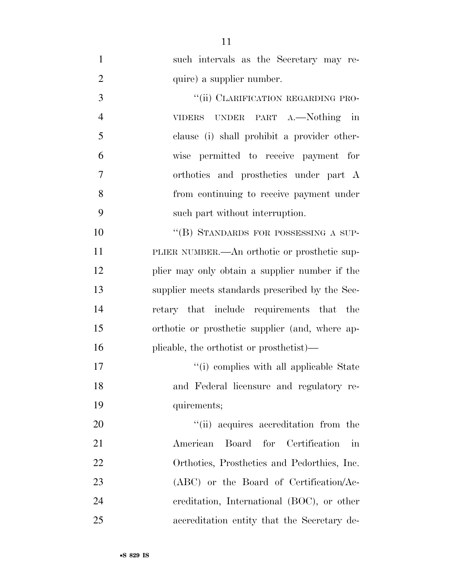such intervals as the Secretary may re-2 quire) a supplier number.

3 "(ii) CLARIFICATION REGARDING PRO- VIDERS UNDER PART A.—Nothing in clause (i) shall prohibit a provider other- wise permitted to receive payment for orthotics and prosthetics under part A from continuing to receive payment under such part without interruption.

10 "(B) STANDARDS FOR POSSESSING A SUP- PLIER NUMBER.—An orthotic or prosthetic sup- plier may only obtain a supplier number if the supplier meets standards prescribed by the Sec- retary that include requirements that the orthotic or prosthetic supplier (and, where ap-plicable, the orthotist or prosthetist)—

17  $\frac{1}{10}$  complies with all applicable State and Federal licensure and regulatory re-quirements;

 $\frac{1}{20}$  acquires accreditation from the American Board for Certification in Orthotics, Prosthetics and Pedorthics, Inc. 23 (ABC) or the Board of Certification/Ac- creditation, International (BOC), or other accreditation entity that the Secretary de-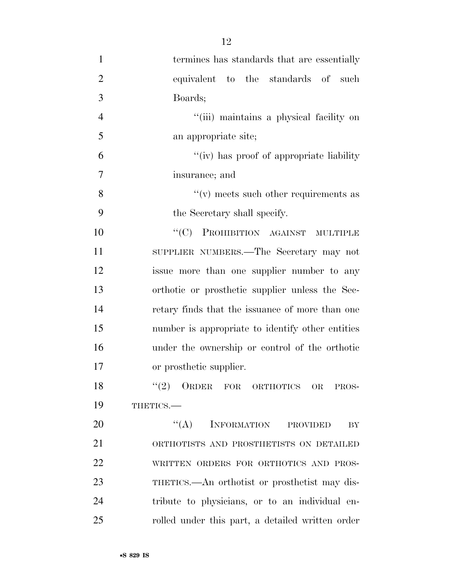| $\mathbf{1}$   | termines has standards that are essentially      |
|----------------|--------------------------------------------------|
| $\overline{2}$ | equivalent to the standards of such              |
| 3              | Boards;                                          |
| $\overline{4}$ | "(iii) maintains a physical facility on          |
| 5              | an appropriate site;                             |
| 6              | "(iv) has proof of appropriate liability         |
| 7              | insurance; and                                   |
| 8              | $f'(v)$ meets such other requirements as         |
| 9              | the Secretary shall specify.                     |
| 10             | "(C) PROHIBITION AGAINST MULTIPLE                |
| 11             | SUPPLIER NUMBERS.—The Secretary may not          |
| 12             | issue more than one supplier number to any       |
| 13             | orthotic or prosthetic supplier unless the Sec-  |
| 14             | retary finds that the issuance of more than one  |
| 15             | number is appropriate to identify other entities |
| 16             | under the ownership or control of the orthotic   |
| 17             | or prosthetic supplier.                          |
| 18             | (2)<br>ORDER FOR ORTHOTICS OR<br>PROS-           |
| 19             | THETICS.                                         |
| 20             | $\lq\lq (A)$<br>INFORMATION PROVIDED<br>BY       |
| 21             | ORTHOTISTS AND PROSTHETISTS ON DETAILED          |
| 22             | WRITTEN ORDERS FOR ORTHOTICS AND PROS-           |
| 23             | THETICS.—An orthotist or prosthetist may dis-    |
| 24             | tribute to physicians, or to an individual en-   |
| 25             | rolled under this part, a detailed written order |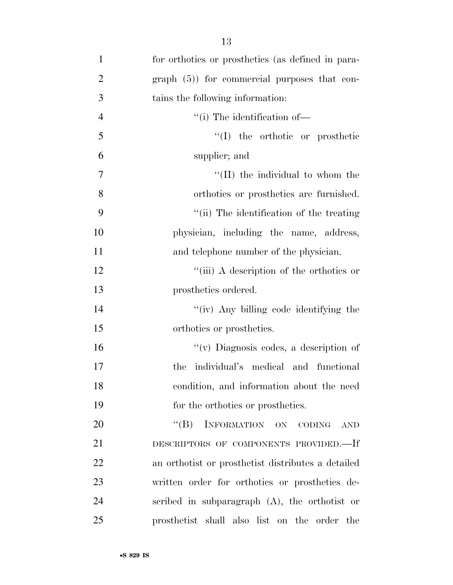| $\mathbf{1}$   | for orthotics or prosthetics (as defined in para-             |
|----------------|---------------------------------------------------------------|
| $\overline{2}$ | $graph(5)$ for commercial purposes that con-                  |
| 3              | tains the following information:                              |
| $\overline{4}$ | "(i) The identification of—                                   |
| 5              | $\lq\lq$ (I) the orthotic or prosthetic                       |
| 6              | supplier; and                                                 |
| $\tau$         | "(II) the individual to whom the                              |
| 8              | orthotics or prosthetics are furnished.                       |
| 9              | "(ii) The identification of the treating                      |
| 10             | physician, including the name, address,                       |
| 11             | and telephone number of the physician.                        |
| 12             | "(iii) A description of the orthotics or                      |
| 13             | prosthetics ordered.                                          |
| 14             | "(iv) Any billing code identifying the                        |
| 15             | orthotics or prosthetics.                                     |
| 16             | "(v) Diagnosis codes, a description of                        |
| 17             | the individual's medical and functional                       |
| 18             | condition, and information about the need                     |
| 19             | for the orthotics or prosthetics.                             |
| 20             | INFORMATION ON<br>$\lq\lq (B)$<br><b>CODING</b><br><b>AND</b> |
| 21             | DESCRIPTORS OF COMPONENTS PROVIDED.-If                        |
| 22             | an orthotist or prosthetist distributes a detailed            |
| 23             | written order for orthotics or prosthetics de-                |
| 24             | scribed in subparagraph (A), the orthotist or                 |
| 25             | prosthetist shall also list on the order the                  |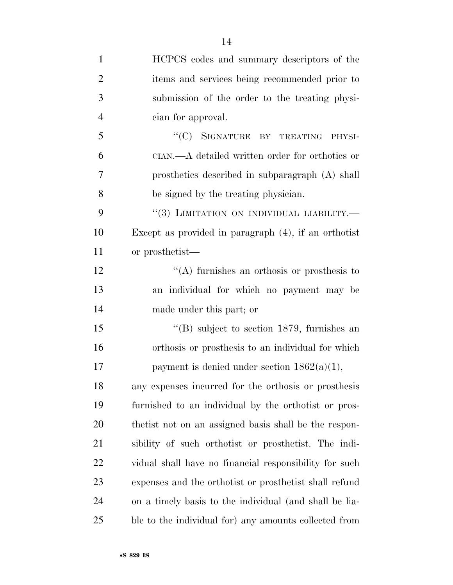| $\mathbf{1}$   | HCPCS codes and summary descriptors of the              |
|----------------|---------------------------------------------------------|
| $\overline{2}$ | items and services being recommended prior to           |
| 3              | submission of the order to the treating physi-          |
| $\overline{4}$ | cian for approval.                                      |
| 5              | "(C) SIGNATURE BY TREATING PHYSI-                       |
| 6              | CIAN.—A detailed written order for orthotics or         |
| 7              | prosthetics described in subparagraph $(A)$ shall       |
| 8              | be signed by the treating physician.                    |
| 9              | $``(3)$ LIMITATION ON INDIVIDUAL LIABILITY.—            |
| 10             | Except as provided in paragraph $(4)$ , if an orthotist |
| 11             | or prosthetist—                                         |
| 12             | "(A) furnishes an orthosis or prosthesis to             |
| 13             | an individual for which no payment may be               |
| 14             | made under this part; or                                |
| 15             | $\lq$ (B) subject to section 1879, furnishes an         |
| 16             | orthosis or prosthesis to an individual for which       |
| 17             | payment is denied under section $1862(a)(1)$ ,          |
| 18             | any expenses incurred for the orthosis or prosthesis    |
| 19             | furnished to an individual by the orthotist or pros-    |
| 20             | the tist not on an assigned basis shall be the respon-  |
| 21             | sibility of such orthotist or prosthetist. The indi-    |
| 22             | vidual shall have no financial responsibility for such  |
| 23             | expenses and the orthotist or prosthetist shall refund  |
| 24             | on a timely basis to the individual (and shall be lia-  |
| 25             | ble to the individual for) any amounts collected from   |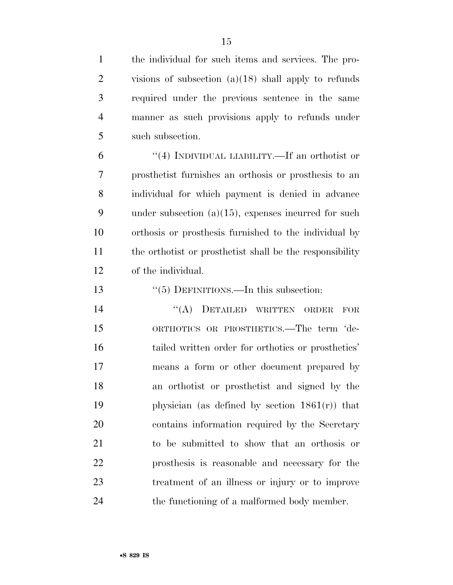the individual for such items and services. The pro- visions of subsection (a)(18) shall apply to refunds required under the previous sentence in the same manner as such provisions apply to refunds under such subsection.

 ''(4) INDIVIDUAL LIABILITY.—If an orthotist or prosthetist furnishes an orthosis or prosthesis to an individual for which payment is denied in advance under subsection (a)(15), expenses incurred for such orthosis or prosthesis furnished to the individual by the orthotist or prosthetist shall be the responsibility of the individual.

''(5) DEFINITIONS.—In this subsection:

14 "(A) DETAILED WRITTEN ORDER FOR ORTHOTICS OR PROSTHETICS.—The term 'de- tailed written order for orthotics or prosthetics' means a form or other document prepared by an orthotist or prosthetist and signed by the 19 physician (as defined by section  $1861(r)$ ) that contains information required by the Secretary to be submitted to show that an orthosis or prosthesis is reasonable and necessary for the treatment of an illness or injury or to improve 24 the functioning of a malformed body member.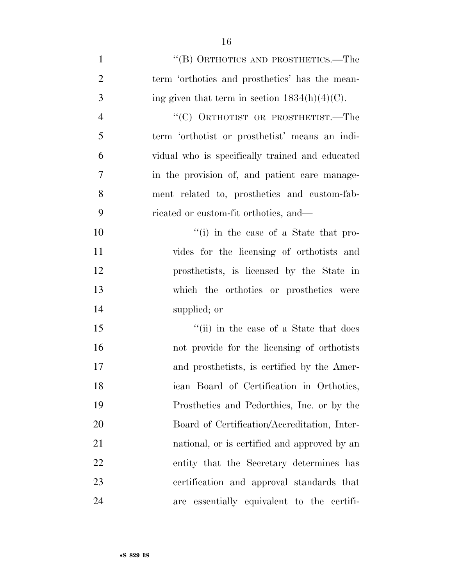| $\mathbf{1}$   | "(B) ORTHOTICS AND PROSTHETICS.—The              |
|----------------|--------------------------------------------------|
| $\overline{2}$ | term 'orthotics and prosthetics' has the mean-   |
| 3              | ing given that term in section $1834(h)(4)(C)$ . |
| $\overline{4}$ | "(C) ORTHOTIST OR PROSTHETIST.—The               |
| 5              | term 'orthotist or prosthetist' means an indi-   |
| 6              | vidual who is specifically trained and educated  |
| 7              | in the provision of, and patient care manage-    |
| 8              | ment related to, prosthetics and custom-fab-     |
| 9              | ricated or custom-fit orthotics, and—            |
| 10             | "(i) in the case of a State that pro-            |
| 11             | vides for the licensing of orthotists and        |
| 12             | prosthetists, is licensed by the State in        |
| 13             | which the orthotics or prosthetics were          |
| 14             | supplied; or                                     |
| 15             | "(ii) in the case of a State that does           |
| 16             | not provide for the licensing of orthotists      |
| 17             | and prosthetists, is certified by the Amer-      |
| 18             | ican Board of Certification in Orthotics,        |
| 19             | Prosthetics and Pedorthics, Inc. or by the       |
| 20             | Board of Certification/Accreditation, Inter-     |
| 21             | national, or is certified and approved by an     |
| 22             | entity that the Secretary determines has         |
| 23             | certification and approval standards that        |
| 24             | are essentially equivalent to the certifi-       |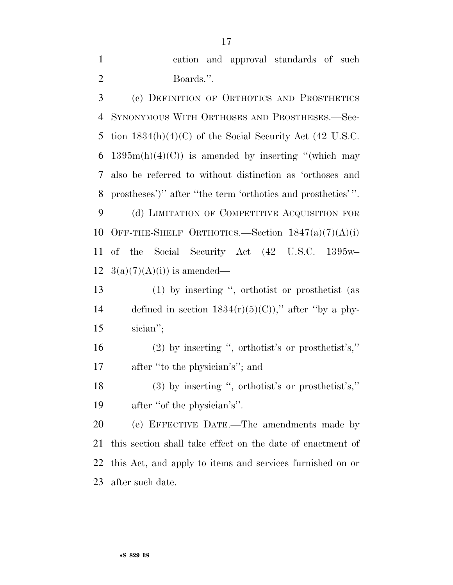cation and approval standards of such Boards.''.

 (c) DEFINITION OF ORTHOTICS AND PROSTHETICS SYNONYMOUS WITH ORTHOSES AND PROSTHESES.—Sec- tion 1834(h)(4)(C) of the Social Security Act (42 U.S.C. 6 1395m(h)(4)(C)) is amended by inserting "(which may also be referred to without distinction as 'orthoses and prostheses')'' after ''the term 'orthotics and prosthetics' ''.

9 (d) LIMITATION OF COMPETITIVE ACQUISITION FOR 10 OFF-THE-SHELF ORTHOTICS.—Section  $1847(a)(7)(A)(i)$  of the Social Security Act (42 U.S.C. 1395w– 12  $3(a)(7)(A)(i)$  is amended—

 (1) by inserting '', orthotist or prosthetist (as 14 defined in section  $1834(r)(5)(C)$ ," after "by a phy-sician'';

 (2) by inserting '', orthotist's or prosthetist's,'' after ''to the physician's''; and

 (3) by inserting '', orthotist's or prosthetist's,'' after ''of the physician's''.

 (e) EFFECTIVE DATE.—The amendments made by this section shall take effect on the date of enactment of this Act, and apply to items and services furnished on or after such date.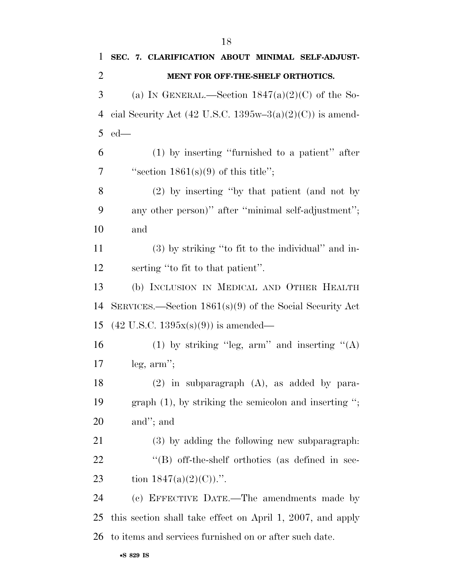| 1              | SEC. 7. CLARIFICATION ABOUT MINIMAL SELF-ADJUST-           |
|----------------|------------------------------------------------------------|
| $\overline{2}$ | MENT FOR OFF-THE-SHELF ORTHOTICS.                          |
| 3              | (a) IN GENERAL.—Section $1847(a)(2)(C)$ of the So-         |
| $\overline{4}$ | cial Security Act (42 U.S.C. 1395w-3(a)(2)(C)) is amend-   |
| 5              | $ed$ —                                                     |
| 6              | $(1)$ by inserting "furnished to a patient" after          |
| 7              | "section $1861(s)(9)$ of this title";                      |
| 8              | (2) by inserting "by that patient (and not by              |
| 9              | any other person)" after "minimal self-adjustment";        |
| 10             | and                                                        |
| 11             | $(3)$ by striking "to fit to the individual" and in-       |
| 12             | serting "to fit to that patient".                          |
| 13             | (b) INCLUSION IN MEDICAL AND OTHER HEALTH                  |
| 14             | SERVICES.—Section $1861(s)(9)$ of the Social Security Act  |
| 15             | $(42 \text{ U.S.C. } 1395x(s)(9))$ is amended—             |
| 16             | (1) by striking "leg, arm" and inserting " $(A)$           |
| 17             | leg, arm";                                                 |
| 18             | $(2)$ in subparagraph $(A)$ , as added by para-            |
| 19             | graph $(1)$ , by striking the semicolon and inserting ";   |
| 20             | and"; and                                                  |
| 21             | (3) by adding the following new subparagraph.              |
| 22             | "(B) off-the-shelf orthotics (as defined in sec-           |
| 23             | tion $1847(a)(2)(C)$ .".                                   |
| 24             | (c) EFFECTIVE DATE.—The amendments made by                 |
| 25             | this section shall take effect on April 1, 2007, and apply |
| 26             | to items and services furnished on or after such date.     |
|                |                                                            |